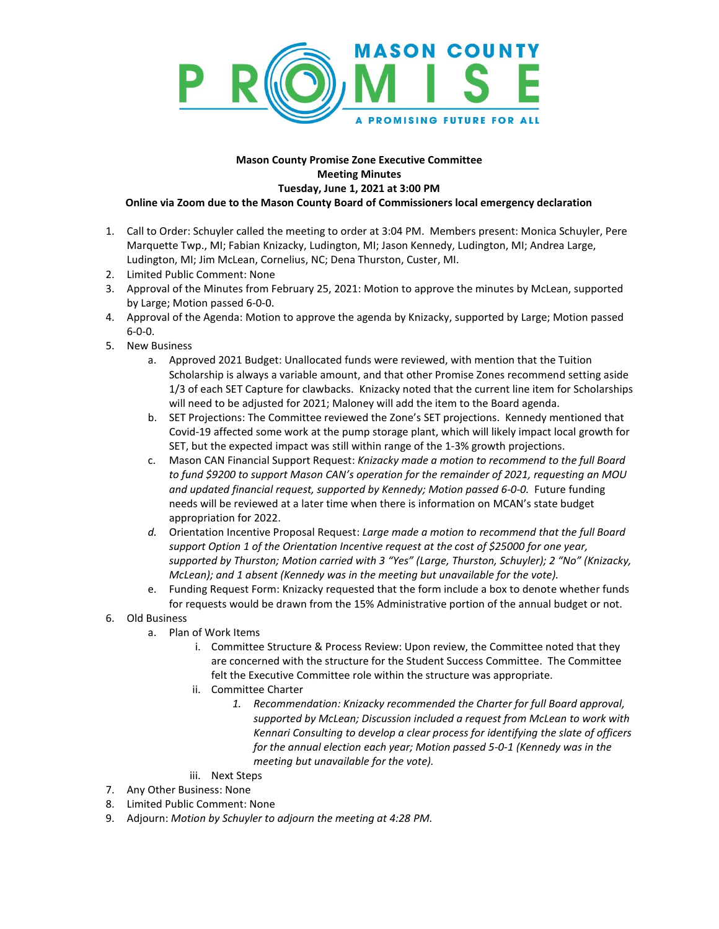

## **Mason County Promise Zone Executive Committee Meeting Minutes Tuesday, June 1, 2021 at 3:00 PM Online via Zoom due to the Mason County Board of Commissioners local emergency declaration**

- 1. Call to Order: Schuyler called the meeting to order at 3:04 PM. Members present: Monica Schuyler, Pere Marquette Twp., MI; Fabian Knizacky, Ludington, MI; Jason Kennedy, Ludington, MI; Andrea Large, Ludington, MI; Jim McLean, Cornelius, NC; Dena Thurston, Custer, MI.
- 2. Limited Public Comment: None
- 3. Approval of the Minutes from February 25, 2021: Motion to approve the minutes by McLean, supported by Large; Motion passed 6-0-0.
- 4. Approval of the Agenda: Motion to approve the agenda by Knizacky, supported by Large; Motion passed 6-0-0.
- 5. New Business
	- a. Approved 2021 Budget: Unallocated funds were reviewed, with mention that the Tuition Scholarship is always a variable amount, and that other Promise Zones recommend setting aside 1/3 of each SET Capture for clawbacks. Knizacky noted that the current line item for Scholarships will need to be adjusted for 2021; Maloney will add the item to the Board agenda.
	- b. SET Projections: The Committee reviewed the Zone's SET projections. Kennedy mentioned that Covid-19 affected some work at the pump storage plant, which will likely impact local growth for SET, but the expected impact was still within range of the 1-3% growth projections.
	- c. Mason CAN Financial Support Request: *Knizacky made a motion to recommend to the full Board to fund \$9200 to support Mason CAN's operation for the remainder of 2021, requesting an MOU and updated financial request, supported by Kennedy; Motion passed 6-0-0.* Future funding needs will be reviewed at a later time when there is information on MCAN's state budget appropriation for 2022.
	- *d.* Orientation Incentive Proposal Request: *Large made a motion to recommend that the full Board support Option 1 of the Orientation Incentive request at the cost of \$25000 for one year, supported by Thurston; Motion carried with 3 "Yes" (Large, Thurston, Schuyler); 2 "No" (Knizacky, McLean); and 1 absent (Kennedy was in the meeting but unavailable for the vote).*
	- e. Funding Request Form: Knizacky requested that the form include a box to denote whether funds for requests would be drawn from the 15% Administrative portion of the annual budget or not.
- 6. Old Business
	- a. Plan of Work Items
		- i. Committee Structure & Process Review: Upon review, the Committee noted that they are concerned with the structure for the Student Success Committee. The Committee felt the Executive Committee role within the structure was appropriate.
		- ii. Committee Charter
			- *1. Recommendation: Knizacky recommended the Charter for full Board approval, supported by McLean; Discussion included a request from McLean to work with Kennari Consulting to develop a clear process for identifying the slate of officers for the annual election each year; Motion passed 5-0-1 (Kennedy was in the meeting but unavailable for the vote).*
		- iii. Next Steps
- 7. Any Other Business: None
- 8. Limited Public Comment: None
- 9. Adjourn: *Motion by Schuyler to adjourn the meeting at 4:28 PM.*